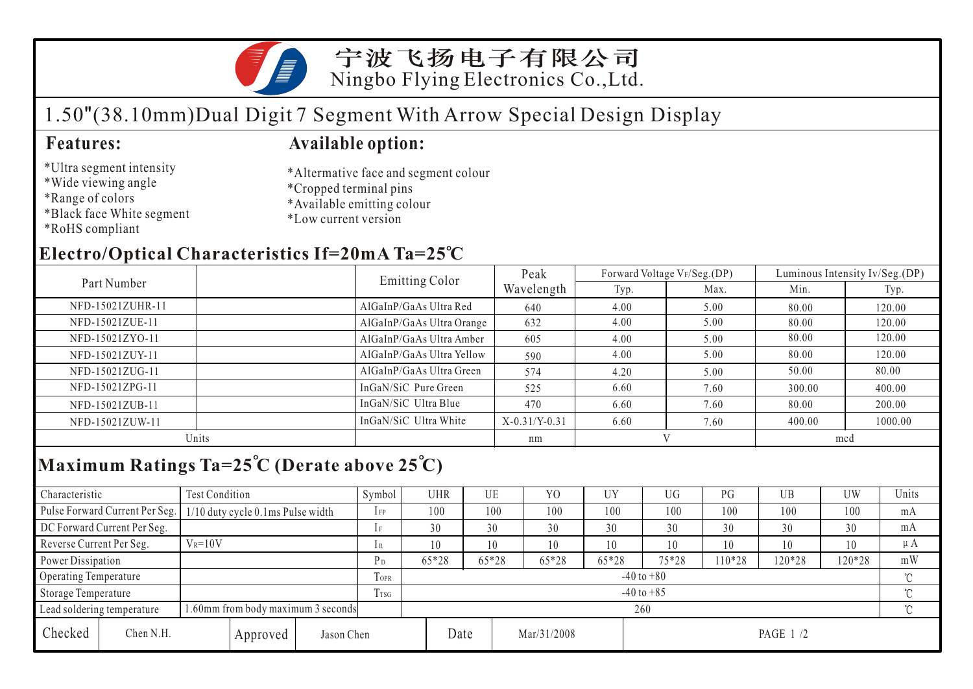

# 1.50"(38.10mm)Dual Digit 7 Segment With Arrow Special Design Display

### **Features: Available option:**

\*Ultra segment intensity \*Wide viewing angle

\*Black face White segment

- \*Altermative face and segment colour \*Cropped terminal pins
- \*Available emitting colour
- \*Low current version

\*RoHS compliant

\*Range of colors

# **Electro/Optical Characteristics If=20mA Ta=25 C**

|                  | Emitting Color            | Peak            |      | Forward Voltage VF/Seg.(DP) | Luminous Intensity Iv/Seg.(DP) |         |  |
|------------------|---------------------------|-----------------|------|-----------------------------|--------------------------------|---------|--|
| Part Number      |                           | Wavelength      | Typ. | Max.                        | Min.                           | Typ.    |  |
| NFD-15021ZUHR-11 | AlGaInP/GaAs Ultra Red    | 640             | 4.00 | 5.00                        | 80.00                          | 120.00  |  |
| NFD-15021ZUE-11  | AlGaInP/GaAs Ultra Orange | 632             | 4.00 | 5.00                        | 80.00                          | 120.00  |  |
| NFD-15021ZYO-11  | AlGaInP/GaAs Ultra Amber  | 605             | 4.00 | 5.00                        | 80.00                          | 120.00  |  |
| NFD-15021ZUY-11  | AlGaInP/GaAs Ultra Yellow | 590             | 4.00 | 5.00                        | 80.00                          | 120.00  |  |
| NFD-15021ZUG-11  | AlGaInP/GaAs Ultra Green  | 574             | 4.20 | 5.00                        | 50.00                          | 80.00   |  |
| NFD-15021ZPG-11  | InGaN/SiC Pure Green      | 525             | 6.60 | 7.60                        | 300.00                         | 400.00  |  |
| NFD-15021ZUB-11  | InGaN/SiC Ultra Blue      | 470             | 6.60 | 7.60                        | 80.00                          | 200.00  |  |
| NFD-15021ZUW-11  | InGaN/SiC Ultra White     | $X-0.31/Y-0.31$ | 6.60 | 7.60                        | 400.00                         | 1000.00 |  |
| Units            |                           | nm              |      |                             | mcd                            |         |  |
|                  |                           |                 |      |                             |                                |         |  |

## **Maximum Ratings Ta=25 C (Derate above 25 C)**

| Characteristic                                                   |                                     | Test Condition                    |                  |             | Symbol         |                | UHR         | UE    | YO      | <b>UY</b> | UG     | $P$ G  | UB  | <b>UW</b> | Units   |
|------------------------------------------------------------------|-------------------------------------|-----------------------------------|------------------|-------------|----------------|----------------|-------------|-------|---------|-----------|--------|--------|-----|-----------|---------|
|                                                                  | Pulse Forward Current Per Seg.      | 1/10 duty cycle 0.1ms Pulse width |                  |             | $1$ FP         | 100            |             | 100   | 100     | 100       | 100    | 100    | 100 | 100       | mA      |
|                                                                  | DC Forward Current Per Seg.         |                                   |                  |             | 1F             | 30             |             | 30    | 30      | 30        | 30     | 30     | 30  | 30        | mA      |
| Reverse Current Per Seg.                                         |                                     | $V_R = 10V$                       |                  |             | 1R             | 10             |             | 10    | 10      | 10        |        | 10     | 10  | 10        | $\mu A$ |
| Power Dissipation                                                |                                     |                                   | $P_D$            | 65*28       |                | $65*28$        | 65*28       | 65*28 | $75*28$ | $10*28$   | 120*28 | 120*28 | mW  |           |         |
| Operating Temperature                                            |                                     |                                   |                  | <b>TOPR</b> |                | $-40$ to $+80$ |             |       |         |           |        |        |     |           |         |
| Storage Temperature                                              |                                     |                                   | T <sub>TSG</sub> |             | $-40$ to $+85$ |                |             |       |         |           |        |        |     |           |         |
| 1.60mm from body maximum 3 seconds<br>Lead soldering temperature |                                     |                                   |                  |             | 260            |                |             |       |         |           |        |        |     |           |         |
| Checked                                                          | Chen N.H.<br>Jason Chen<br>Approved |                                   |                  |             | Date           |                | Mar/31/2008 |       |         |           |        |        |     |           |         |